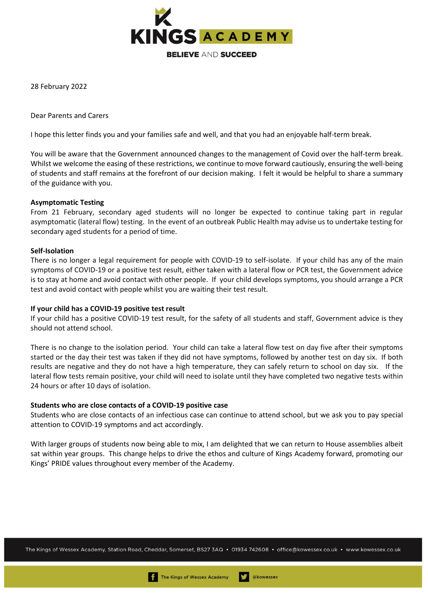

28 February 2022

Dear Parents and Carers

I hope this letter finds you and your families safe and well, and that you had an enjoyable half-term break.

You will be aware that the Government announced changes to the management of Covid over the half-term break. Whilst we welcome the easing of these restrictions, we continue to move forward cautiously, ensuring the well-being of students and staff remains at the forefront of our decision making. I felt it would be helpful to share a summary of the guidance with you.

## **Asymptomatic Testing**

From 21 February, secondary aged students will no longer be expected to continue taking part in regular asymptomatic (lateral flow) testing. In the event of an outbreak Public Health may advise us to undertake testing for secondary aged students for a period of time.

## **Self-Isolation**

There is no longer a legal requirement for people with COVID-19 to self-isolate. If your child has any of the main symptoms of COVID-19 or a positive test result, either taken with a lateral flow or PCR test, the Government advice is to stay at home and avoid contact with other people. If your child develops symptoms, you should arrange a PCR test and avoid contact with people whilst you are waiting their test result.

## **If your child has a COVID-19 positive test result**

If your child has a positive COVID-19 test result, for the safety of all students and staff, Government advice is they should not attend school.

There is no change to the isolation period. Your child can take a lateral flow test on day five after their symptoms started or the day their test was taken if they did not have symptoms, followed by another test on day six. If both results are negative and they do not have a high temperature, they can safely return to school on day six. If the lateral flow tests remain positive, your child will need to isolate until they have completed two negative tests within 24 hours or after 10 days of isolation.

## **Students who are close contacts of a COVID-19 positive case**

Students who are close contacts of an infectious case can continue to attend school, but we ask you to pay special attention to COVID-19 symptoms and act accordingly.

With larger groups of students now being able to mix, I am delighted that we can return to House assemblies albeit sat within year groups. This change helps to drive the ethos and culture of Kings Academy forward, promoting our Kings' PRIDE values throughout every member of the Academy.